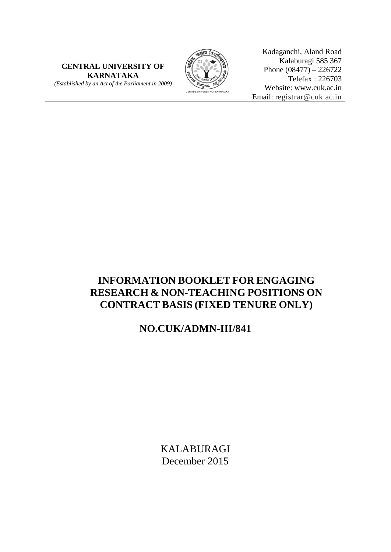**CENTRAL UNIVERSITY OF KARNATAKA** *(Established by an Act of the Parliament in 2009)*



Kadaganchi, Aland Road Kalaburagi 585 367 Phone  $(08477) - 226722$ Telefax : 226703 Website: www.cuk.ac.in Email: registrar@cuk.ac.in

# **INFORMATION BOOKLET FOR ENGAGING RESEARCH & NON-TEACHING POSITIONS ON CONTRACT BASIS (FIXED TENURE ONLY)**

## **NO.CUK/ADMN-III/841**

KALABURAGI December 2015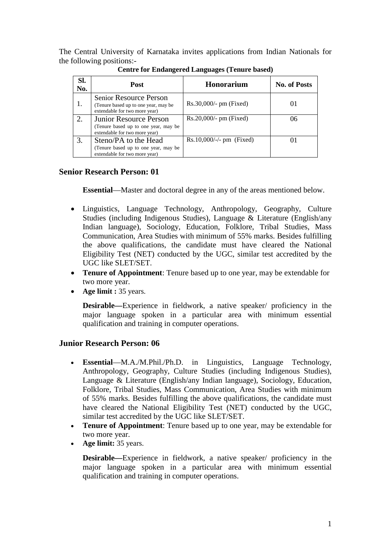The Central University of Karnataka invites applications from Indian Nationals for the following positions:-

| SI.<br>No. | Post                                                                                                   | <b>Honorarium</b>          | <b>No. of Posts</b> |
|------------|--------------------------------------------------------------------------------------------------------|----------------------------|---------------------|
| 1.         | <b>Senior Resource Person</b><br>(Tenure based up to one year, may be<br>extendable for two more year) | $Rs.30,000/- pm (Fixed)$   |                     |
| 2.         | Junior Resource Person<br>(Tenure based up to one year, may be<br>extendable for two more year)        | $Rs.20,000/- pm$ (Fixed)   | 06                  |
|            | Steno/PA to the Head<br>(Tenure based up to one year, may be<br>extendable for two more year)          | $Rs.10,000/-/- pm$ (Fixed) |                     |

**Centre for Endangered Languages (Tenure based)**

## **Senior Research Person: 01**

**Essential**—Master and doctoral degree in any of the areas mentioned below.

- Linguistics, Language Technology, Anthropology, Geography, Culture Studies (including Indigenous Studies), Language & Literature (English/any Indian language), Sociology, Education, Folklore, Tribal Studies, Mass Communication, Area Studies with minimum of 55% marks. Besides fulfilling the above qualifications, the candidate must have cleared the National Eligibility Test (NET) conducted by the UGC, similar test accredited by the UGC like SLET/SET.
- **Tenure of Appointment**: Tenure based up to one year, may be extendable for two more year.
- **Age limit :** 35 years.

**Desirable—**Experience in fieldwork, a native speaker/ proficiency in the major language spoken in a particular area with minimum essential qualification and training in computer operations.

## **Junior Research Person: 06**

- **Essential**—M.A./M.Phil./Ph.D. in Linguistics, Language Technology, Anthropology, Geography, Culture Studies (including Indigenous Studies), Language & Literature (English/any Indian language), Sociology, Education, Folklore, Tribal Studies, Mass Communication, Area Studies with minimum of 55% marks. Besides fulfilling the above qualifications, the candidate must have cleared the National Eligibility Test (NET) conducted by the UGC, similar test accredited by the UGC like SLET/SET.
- **Tenure of Appointment**: Tenure based up to one year, may be extendable for two more year.
- **Age limit:** 35 years.

**Desirable—**Experience in fieldwork, a native speaker/ proficiency in the major language spoken in a particular area with minimum essential qualification and training in computer operations.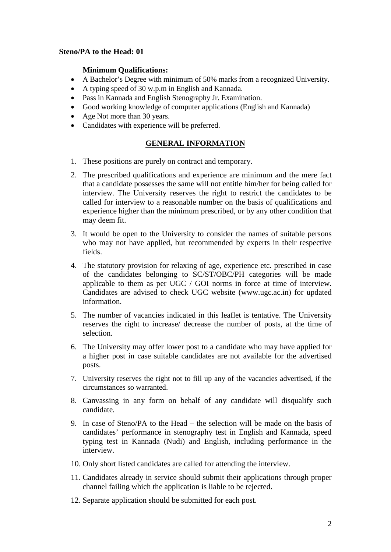#### **Steno/PA to the Head: 01**

#### **Minimum Qualifications:**

- A Bachelor's Degree with minimum of 50% marks from a recognized University.
- A typing speed of 30 w.p.m in English and Kannada.
- Pass in Kannada and English Stenography Jr. Examination.
- Good working knowledge of computer applications (English and Kannada)
- Age Not more than 30 years.
- Candidates with experience will be preferred.

### **GENERAL INFORMATION**

- 1. These positions are purely on contract and temporary.
- 2. The prescribed qualifications and experience are minimum and the mere fact that a candidate possesses the same will not entitle him/her for being called for interview. The University reserves the right to restrict the candidates to be called for interview to a reasonable number on the basis of qualifications and experience higher than the minimum prescribed, or by any other condition that may deem fit.
- 3. It would be open to the University to consider the names of suitable persons who may not have applied, but recommended by experts in their respective fields.
- 4. The statutory provision for relaxing of age, experience etc. prescribed in case of the candidates belonging to SC/ST/OBC/PH categories will be made applicable to them as per UGC / GOI norms in force at time of interview. Candidates are advised to check UGC website (www.ugc.ac.in) for updated information.
- 5. The number of vacancies indicated in this leaflet is tentative. The University reserves the right to increase/ decrease the number of posts, at the time of selection.
- 6. The University may offer lower post to a candidate who may have applied for a higher post in case suitable candidates are not available for the advertised posts.
- 7. University reserves the right not to fill up any of the vacancies advertised, if the circumstances so warranted.
- 8. Canvassing in any form on behalf of any candidate will disqualify such candidate.
- 9. In case of Steno/PA to the Head the selection will be made on the basis of candidates' performance in stenography test in English and Kannada, speed typing test in Kannada (Nudi) and English, including performance in the interview.
- 10. Only short listed candidates are called for attending the interview.
- 11. Candidates already in service should submit their applications through proper channel failing which the application is liable to be rejected.
- 12. Separate application should be submitted for each post.